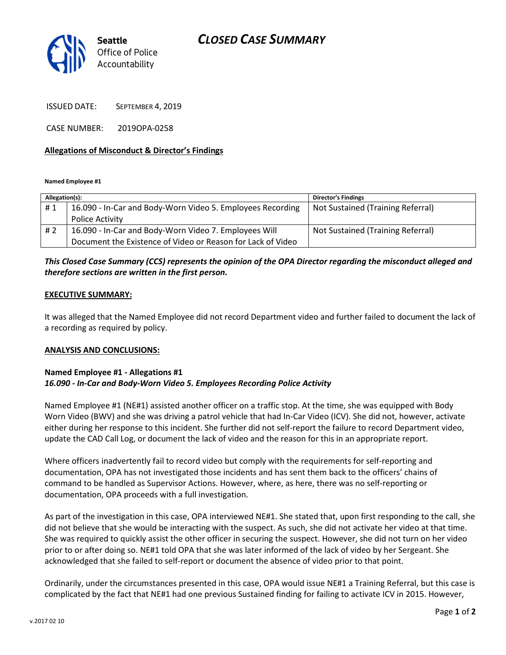# CLOSED CASE SUMMARY



ISSUED DATE: SEPTEMBER 4, 2019

CASE NUMBER: 2019OPA-0258

### Allegations of Misconduct & Director's Findings

Named Employee #1

| Allegation(s): |                                                             | <b>Director's Findings</b>        |
|----------------|-------------------------------------------------------------|-----------------------------------|
| #1             | 16.090 - In-Car and Body-Worn Video 5. Employees Recording  | Not Sustained (Training Referral) |
|                | <b>Police Activity</b>                                      |                                   |
| #2             | 16.090 - In-Car and Body-Worn Video 7. Employees Will       | Not Sustained (Training Referral) |
|                | Document the Existence of Video or Reason for Lack of Video |                                   |

## This Closed Case Summary (CCS) represents the opinion of the OPA Director regarding the misconduct alleged and therefore sections are written in the first person.

#### EXECUTIVE SUMMARY:

It was alleged that the Named Employee did not record Department video and further failed to document the lack of a recording as required by policy.

#### ANALYSIS AND CONCLUSIONS:

#### Named Employee #1 - Allegations #1 16.090 - In-Car and Body-Worn Video 5. Employees Recording Police Activity

Named Employee #1 (NE#1) assisted another officer on a traffic stop. At the time, she was equipped with Body Worn Video (BWV) and she was driving a patrol vehicle that had In-Car Video (ICV). She did not, however, activate either during her response to this incident. She further did not self-report the failure to record Department video, update the CAD Call Log, or document the lack of video and the reason for this in an appropriate report.

Where officers inadvertently fail to record video but comply with the requirements for self-reporting and documentation, OPA has not investigated those incidents and has sent them back to the officers' chains of command to be handled as Supervisor Actions. However, where, as here, there was no self-reporting or documentation, OPA proceeds with a full investigation.

As part of the investigation in this case, OPA interviewed NE#1. She stated that, upon first responding to the call, she did not believe that she would be interacting with the suspect. As such, she did not activate her video at that time. She was required to quickly assist the other officer in securing the suspect. However, she did not turn on her video prior to or after doing so. NE#1 told OPA that she was later informed of the lack of video by her Sergeant. She acknowledged that she failed to self-report or document the absence of video prior to that point.

Ordinarily, under the circumstances presented in this case, OPA would issue NE#1 a Training Referral, but this case is complicated by the fact that NE#1 had one previous Sustained finding for failing to activate ICV in 2015. However,